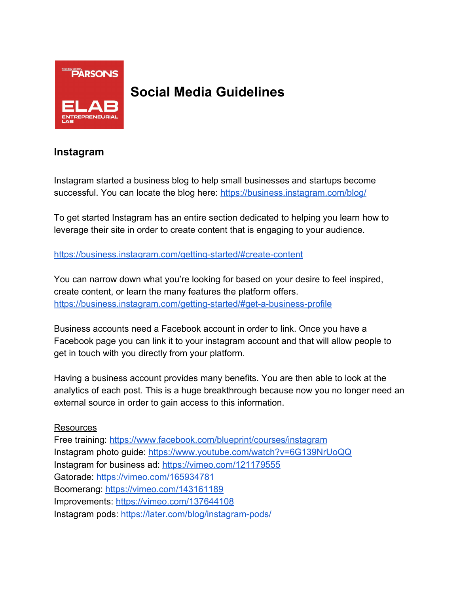

# **Social Media Guidelines**

### **Instagram**

Instagram started a business blog to help small businesses and startups become successful. You can locate the blog here: <https://business.instagram.com/blog/>

To get started Instagram has an entire section dedicated to helping you learn how to leverage their site in order to create content that is engaging to your audience.

<https://business.instagram.com/getting-started/#create-content>

You can narrow down what you're looking for based on your desire to feel inspired, create content, or learn the many features the platform offers. <https://business.instagram.com/getting-started/#get-a-business-profile>

Business accounts need a Facebook account in order to link. Once you have a Facebook page you can link it to your instagram account and that will allow people to get in touch with you directly from your platform.

Having a business account provides many benefits. You are then able to look at the analytics of each post. This is a huge breakthrough because now you no longer need an external source in order to gain access to this information.

#### Resources

Free training: <https://www.facebook.com/blueprint/courses/instagram> Instagram photo guide: <https://www.youtube.com/watch?v=6G139NrUoQQ> Instagram for business ad:<https://vimeo.com/121179555> Gatorade:<https://vimeo.com/165934781> Boomerang:<https://vimeo.com/143161189> Improvements:<https://vimeo.com/137644108> Instagram pods:<https://later.com/blog/instagram-pods/>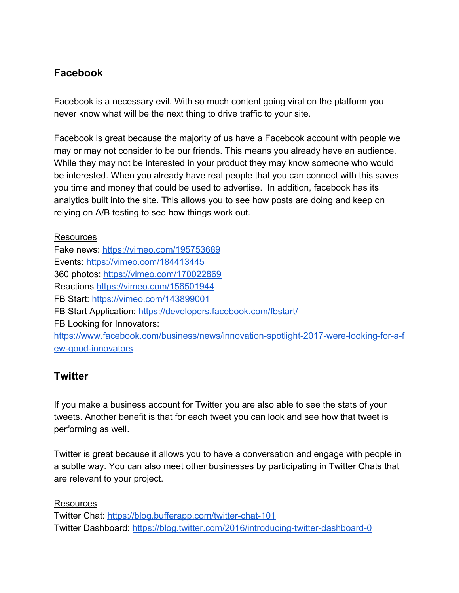# **Facebook**

Facebook is a necessary evil. With so much content going viral on the platform you never know what will be the next thing to drive traffic to your site.

Facebook is great because the majority of us have a Facebook account with people we may or may not consider to be our friends. This means you already have an audience. While they may not be interested in your product they may know someone who would be interested. When you already have real people that you can connect with this saves you time and money that could be used to advertise. In addition, facebook has its analytics built into the site. This allows you to see how posts are doing and keep on relying on A/B testing to see how things work out.

Resources Fake news:<https://vimeo.com/195753689> Events:<https://vimeo.com/184413445> 360 photos: <https://vimeo.com/170022869> Reactions<https://vimeo.com/156501944> FB Start:<https://vimeo.com/143899001> FB Start Application:<https://developers.facebook.com/fbstart/> FB Looking for Innovators: [https://www.facebook.com/business/news/innovation-spotlight-2017-were-looking-for-a-f](https://www.facebook.com/business/news/innovation-spotlight-2017-were-looking-for-a-few-good-innovators) [ew-good-innovators](https://www.facebook.com/business/news/innovation-spotlight-2017-were-looking-for-a-few-good-innovators)

## **Twitter**

If you make a business account for Twitter you are also able to see the stats of your tweets. Another benefit is that for each tweet you can look and see how that tweet is performing as well.

Twitter is great because it allows you to have a conversation and engage with people in a subtle way. You can also meet other businesses by participating in Twitter Chats that are relevant to your project.

Resources

Twitter Chat:<https://blog.bufferapp.com/twitter-chat-101> Twitter Dashboard:<https://blog.twitter.com/2016/introducing-twitter-dashboard-0>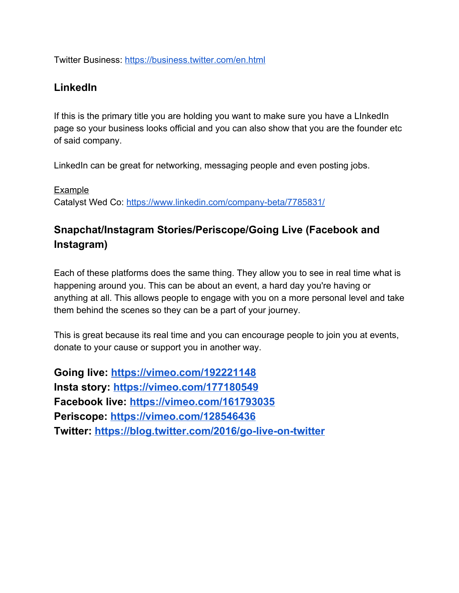Twitter Business:<https://business.twitter.com/en.html>

### **LinkedIn**

If this is the primary title you are holding you want to make sure you have a LInkedIn page so your business looks official and you can also show that you are the founder etc of said company.

LinkedIn can be great for networking, messaging people and even posting jobs.

Example Catalyst Wed Co:<https://www.linkedin.com/company-beta/7785831/>

# **Snapchat/Instagram Stories/Periscope/Going Live (Facebook and Instagram)**

Each of these platforms does the same thing. They allow you to see in real time what is happening around you. This can be about an event, a hard day you're having or anything at all. This allows people to engage with you on a more personal level and take them behind the scenes so they can be a part of your journey.

This is great because its real time and you can encourage people to join you at events, donate to your cause or support you in another way.

**Going live: <https://vimeo.com/192221148> Insta story: <https://vimeo.com/177180549> Facebook live: <https://vimeo.com/161793035> Periscope: <https://vimeo.com/128546436> Twitter: <https://blog.twitter.com/2016/go-live-on-twitter>**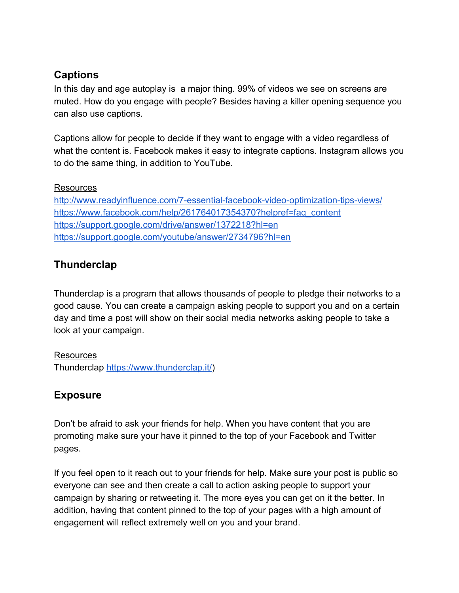# **Captions**

In this day and age autoplay is a major thing. 99% of videos we see on screens are muted. How do you engage with people? Besides having a killer opening sequence you can also use captions.

Captions allow for people to decide if they want to engage with a video regardless of what the content is. Facebook makes it easy to integrate captions. Instagram allows you to do the same thing, in addition to YouTube.

#### Resources

<http://www.readyinfluence.com/7-essential-facebook-video-optimization-tips-views/> [https://www.facebook.com/help/261764017354370?helpref=faq\\_content](https://www.facebook.com/help/261764017354370?helpref=faq_content) <https://support.google.com/drive/answer/1372218?hl=en> <https://support.google.com/youtube/answer/2734796?hl=en>

## **Thunderclap**

Thunderclap is a program that allows thousands of people to pledge their networks to a good cause. You can create a campaign asking people to support you and on a certain day and time a post will show on their social media networks asking people to take a look at your campaign.

Resources Thunderclap [https://www.thunderclap.it/\)](https://www.thunderclap.it/)

# **Exposure**

Don't be afraid to ask your friends for help. When you have content that you are promoting make sure your have it pinned to the top of your Facebook and Twitter pages.

If you feel open to it reach out to your friends for help. Make sure your post is public so everyone can see and then create a call to action asking people to support your campaign by sharing or retweeting it. The more eyes you can get on it the better. In addition, having that content pinned to the top of your pages with a high amount of engagement will reflect extremely well on you and your brand.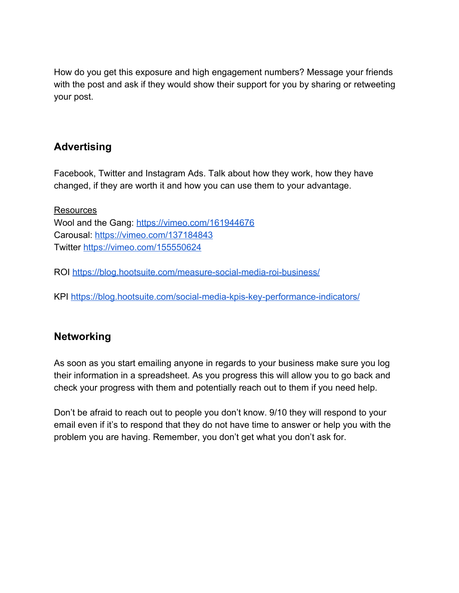How do you get this exposure and high engagement numbers? Message your friends with the post and ask if they would show their support for you by sharing or retweeting your post.

# **Advertising**

Facebook, Twitter and Instagram Ads. Talk about how they work, how they have changed, if they are worth it and how you can use them to your advantage.

**Resources** Wool and the Gang: <https://vimeo.com/161944676> Carousal:<https://vimeo.com/137184843> Twitter<https://vimeo.com/155550624>

ROI<https://blog.hootsuite.com/measure-social-media-roi-business/>

KPI<https://blog.hootsuite.com/social-media-kpis-key-performance-indicators/>

## **Networking**

As soon as you start emailing anyone in regards to your business make sure you log their information in a spreadsheet. As you progress this will allow you to go back and check your progress with them and potentially reach out to them if you need help.

Don't be afraid to reach out to people you don't know. 9/10 they will respond to your email even if it's to respond that they do not have time to answer or help you with the problem you are having. Remember, you don't get what you don't ask for.